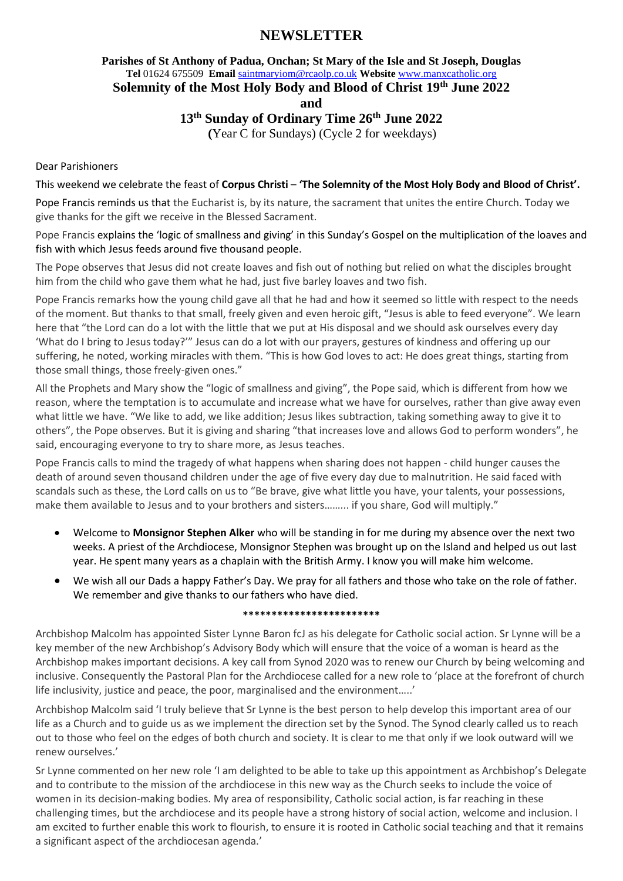# **NEWSLETTER**

# **Parishes of St Anthony of Padua, Onchan; St Mary of the Isle and St Joseph, Douglas Tel** 01624 675509 **Email** [saintmaryiom@rcaolp.co.uk](mailto:saintmaryiom@rcaolp.co.uk) **Website** [www.manxcatholic.org](http://www.manxcatholic.org/)

**Solemnity of the Most Holy Body and Blood of Christ 19 th June 2022**

**and**

### **13th Sunday of Ordinary Time 26th June 2022**

 **(**Year C for Sundays) (Cycle 2 for weekdays)

#### Dear Parishioners

This weekend we celebrate the feast of **Corpus Christi** – **'The Solemnity of the Most Holy Body and Blood of Christ'.**

Pope Francis reminds us that the Eucharist is, by its nature, the sacrament that unites the entire Church. Today we give thanks for the gift we receive in the Blessed Sacrament.

Pope Francis explains the 'logic of smallness and giving' in this Sunday's Gospel on the multiplication of the loaves and fish with which Jesus feeds around five thousand people.

The Pope observes that Jesus did not create loaves and fish out of nothing but relied on what the disciples brought him from the child who gave them what he had, just five barley loaves and two fish.

Pope Francis remarks how the young child gave all that he had and how it seemed so little with respect to the needs of the moment. But thanks to that small, freely given and even heroic gift, "Jesus is able to feed everyone". We learn here that "the Lord can do a lot with the little that we put at His disposal and we should ask ourselves every day 'What do I bring to Jesus today?'" Jesus can do a lot with our prayers, gestures of kindness and offering up our suffering, he noted, working miracles with them. "This is how God loves to act: He does great things, starting from those small things, those freely-given ones."

All the Prophets and Mary show the "logic of smallness and giving", the Pope said, which is different from how we reason, where the temptation is to accumulate and increase what we have for ourselves, rather than give away even what little we have. "We like to add, we like addition; Jesus likes subtraction, taking something away to give it to others", the Pope observes. But it is giving and sharing "that increases love and allows God to perform wonders", he said, encouraging everyone to try to share more, as Jesus teaches.

Pope Francis calls to mind the tragedy of what happens when sharing does not happen - child hunger causes the death of around seven thousand children under the age of five every day due to malnutrition. He said faced with scandals such as these, the Lord calls on us to "Be brave, give what little you have, your talents, your possessions, make them available to Jesus and to your brothers and sisters......... if you share, God will multiply."

- Welcome to **Monsignor Stephen Alker** who will be standing in for me during my absence over the next two weeks. A priest of the Archdiocese, Monsignor Stephen was brought up on the Island and helped us out last year. He spent many years as a chaplain with the British Army. I know you will make him welcome.
- We wish all our Dads a happy Father's Day. We pray for all fathers and those who take on the role of father. We remember and give thanks to our fathers who have died.

#### **\*\*\*\*\*\*\*\*\*\*\*\*\*\*\*\*\*\*\*\*\*\*\*\***

Archbishop Malcolm has appointed Sister Lynne Baron fcJ as his delegate for Catholic social action. Sr Lynne will be a key member of the new Archbishop's Advisory Body which will ensure that the voice of a woman is heard as the Archbishop makes important decisions. A key call from Synod 2020 was to renew our Church by being welcoming and inclusive. Consequently the Pastoral Plan for the Archdiocese called for a new role to 'place at the forefront of church life inclusivity, justice and peace, the poor, marginalised and the environment…..'

Archbishop Malcolm said 'I truly believe that Sr Lynne is the best person to help develop this important area of our life as a Church and to guide us as we implement the direction set by the Synod. The Synod clearly called us to reach out to those who feel on the edges of both church and society. It is clear to me that only if we look outward will we renew ourselves.'

Sr Lynne commented on her new role 'I am delighted to be able to take up this appointment as Archbishop's Delegate and to contribute to the mission of the archdiocese in this new way as the Church seeks to include the voice of women in its decision-making bodies. My area of responsibility, Catholic social action, is far reaching in these challenging times, but the archdiocese and its people have a strong history of social action, welcome and inclusion. I am excited to further enable this work to flourish, to ensure it is rooted in Catholic social teaching and that it remains a significant aspect of the archdiocesan agenda.'